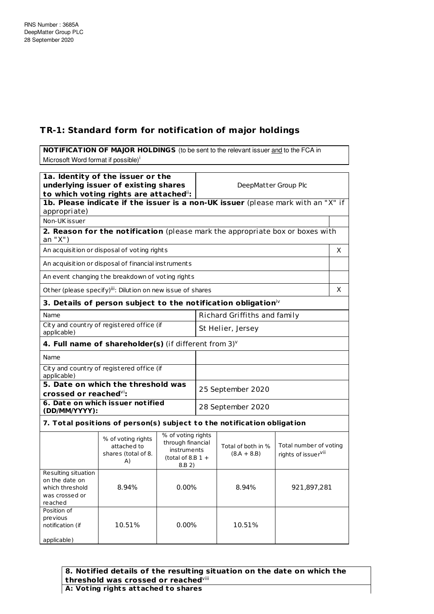## **TR-1: Standard form for notification of major holdings**

**NOTIFICATION OF MAJOR HOLDINGS** (to be sent to the relevant issuer and to the FCA in Microsoft Word format if possible)<sup>i</sup>

| 1a. Identity of the issuer or the<br>underlying issuer of existing shares<br>to which voting rights are attached": |                                                                                  |                                                                                         |                              | DeepMatter Group Plc                |                                                           |   |
|--------------------------------------------------------------------------------------------------------------------|----------------------------------------------------------------------------------|-----------------------------------------------------------------------------------------|------------------------------|-------------------------------------|-----------------------------------------------------------|---|
| appropriate)                                                                                                       | 1b. Please indicate if the issuer is a non-UK issuer (please mark with an "X" if |                                                                                         |                              |                                     |                                                           |   |
| Non-UK issuer                                                                                                      |                                                                                  |                                                                                         |                              |                                     |                                                           |   |
| an "X")                                                                                                            | 2. Reason for the notification (please mark the appropriate box or boxes with    |                                                                                         |                              |                                     |                                                           |   |
|                                                                                                                    | An acquisition or disposal of voting rights                                      |                                                                                         |                              |                                     |                                                           | X |
|                                                                                                                    | An acquisition or disposal of financial instruments                              |                                                                                         |                              |                                     |                                                           |   |
|                                                                                                                    | An event changing the breakdown of voting rights                                 |                                                                                         |                              |                                     |                                                           |   |
|                                                                                                                    | Other (please specify) <sup>iii</sup> : Dilution on new issue of shares          |                                                                                         |                              |                                     |                                                           | X |
|                                                                                                                    | 3. Details of person subject to the notification obligation $\dot{w}$            |                                                                                         |                              |                                     |                                                           |   |
| Name                                                                                                               |                                                                                  |                                                                                         | Richard Griffiths and family |                                     |                                                           |   |
| applicable)                                                                                                        | City and country of registered office (if                                        |                                                                                         | St Helier, Jersey            |                                     |                                                           |   |
|                                                                                                                    | 4. Full name of shareholder(s) (if different from $3$ ) $v$                      |                                                                                         |                              |                                     |                                                           |   |
| Name                                                                                                               |                                                                                  |                                                                                         |                              |                                     |                                                           |   |
| City and country of registered office (if<br>applicable)                                                           |                                                                                  |                                                                                         |                              |                                     |                                                           |   |
| 5. Date on which the threshold was<br>crossed or reached <sup>vi</sup> :                                           |                                                                                  |                                                                                         |                              | 25 September 2020                   |                                                           |   |
| 6. Date on which issuer notified<br>(DD/MM/YYYY):                                                                  |                                                                                  |                                                                                         | 28 September 2020            |                                     |                                                           |   |
|                                                                                                                    | 7. Total positions of person(s) subject to the notification obligation           |                                                                                         |                              |                                     |                                                           |   |
|                                                                                                                    | % of voting rights<br>attached to<br>shares (total of 8.<br>A)                   | % of voting rights<br>through financial<br>instruments<br>(total of 8.B $1 +$<br>8.B 2) |                              | Total of both in %<br>$(8.A + 8.B)$ | Total number of voting<br>rights of issuer <sup>vii</sup> |   |
| Resulting situation<br>on the date on<br>which threshold<br>was crossed or<br>reached                              | 8.94%                                                                            | $0.00\%$                                                                                |                              | 8.94%                               | 921,897,281                                               |   |
| Position of<br>previous<br>notification (if<br>applicable)                                                         | 10.51%                                                                           | $0.00\%$                                                                                |                              | 10.51%                              |                                                           |   |

**8. Notified details of the resulting situation on the date on which the threshold was crossed or reached** viii **A: Vot ing rights at tached to shares**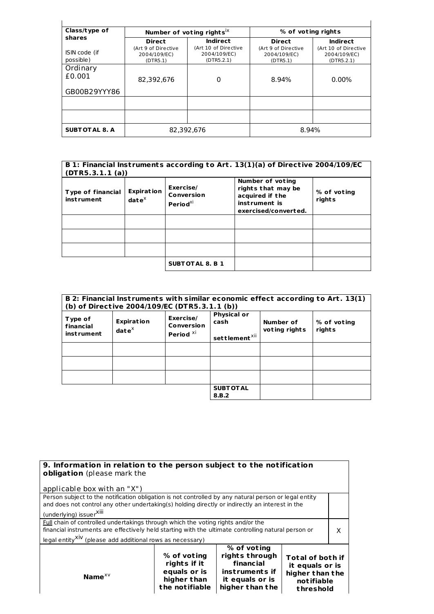| Class/type of              |                                                 | Number of voting rights <sup>ix</sup>              | % of voting rights                              |                                                    |  |
|----------------------------|-------------------------------------------------|----------------------------------------------------|-------------------------------------------------|----------------------------------------------------|--|
| shares                     | <b>Direct</b>                                   | Indirect                                           | <b>Direct</b>                                   | <b>Indirect</b>                                    |  |
| ISIN code (if<br>possible) | (Art 9 of Directive<br>2004/109/EC)<br>(DTR5.1) | (Art 10 of Directive<br>2004/109/EC)<br>(DTR5.2.1) | (Art 9 of Directive<br>2004/109/EC)<br>(DTR5.1) | (Art 10 of Directive<br>2004/109/EC)<br>(DTR5.2.1) |  |
| Ordinary<br>£0.001         | 82,392,676                                      | 0                                                  | 8.94%                                           | $0.00\%$                                           |  |
| GB00B29YYY86               |                                                 |                                                    |                                                 |                                                    |  |
|                            |                                                 |                                                    |                                                 |                                                    |  |
|                            |                                                 |                                                    |                                                 |                                                    |  |
| <b>SUBTOTAL 8. A</b>       | 82.392.676                                      |                                                    | 8.94%                                           |                                                    |  |

| B 1: Financial Instruments according to Art. 13(1)(a) of Directive 2004/109/EC<br>(DTR5.3.1.1 (a)) |                                             |                                                 |                                                                                                    |                       |  |
|----------------------------------------------------------------------------------------------------|---------------------------------------------|-------------------------------------------------|----------------------------------------------------------------------------------------------------|-----------------------|--|
| <b>Type of financial</b><br>inst rument                                                            | <b>Expiration</b><br>$\mathbf{date}^\times$ | Exercise/<br>Conversion<br>Period <sup>xi</sup> | Number of voting<br>rights that may be<br>acquired if the<br>instrument is<br>exercised/converted. | % of voting<br>rights |  |
|                                                                                                    |                                             |                                                 |                                                                                                    |                       |  |
|                                                                                                    |                                             |                                                 |                                                                                                    |                       |  |
|                                                                                                    |                                             |                                                 |                                                                                                    |                       |  |
|                                                                                                    |                                             | <b>SUBTOTAL 8. B 1</b>                          |                                                                                                    |                       |  |

|                                           | (b) of Directive 2004/109/EC (DTR5.3.1.1 (b)) |                                                 |                                                         |                            | B 2: Financial Instruments with similar economic effect according to Art. 13(1) |
|-------------------------------------------|-----------------------------------------------|-------------------------------------------------|---------------------------------------------------------|----------------------------|---------------------------------------------------------------------------------|
| Type of<br>financial<br><b>instrument</b> | <b>Expiration</b><br>$\mathbf{date}^\times$   | Exercise/<br>Conversion<br>Period <sup>xi</sup> | <b>Physical or</b><br>cash<br>settlement <sup>xii</sup> | Number of<br>voting rights | % of voting<br>rights                                                           |
|                                           |                                               |                                                 |                                                         |                            |                                                                                 |
|                                           |                                               |                                                 |                                                         |                            |                                                                                 |
|                                           |                                               |                                                 |                                                         |                            |                                                                                 |
|                                           |                                               |                                                 | <b>SUBT OT AL</b><br>8.B.2                              |                            |                                                                                 |

| 9. Information in relation to the person subject to the notification<br>obligation (please mark the                                                                                                                                                                                                                                                                                                                                                                                                                 |                                                                              |                                                                                                    |                                                                                          |   |
|---------------------------------------------------------------------------------------------------------------------------------------------------------------------------------------------------------------------------------------------------------------------------------------------------------------------------------------------------------------------------------------------------------------------------------------------------------------------------------------------------------------------|------------------------------------------------------------------------------|----------------------------------------------------------------------------------------------------|------------------------------------------------------------------------------------------|---|
| applicable box with an "X")                                                                                                                                                                                                                                                                                                                                                                                                                                                                                         |                                                                              |                                                                                                    |                                                                                          |   |
| Person subject to the notification obligation is not controlled by any natural person or legal entity<br>and does not control any other undertaking(s) holding directly or indirectly an interest in the<br>(underlying) issuer <sup>XIII</sup><br>Full chain of controlled undertakings through which the voting rights and/or the<br>financial instruments are effectively held starting with the ultimate controlling natural person or<br>legal entity <sup>XIV</sup> (please add additional rows as necessary) |                                                                              |                                                                                                    |                                                                                          | X |
| Name $^{x}{}^{y}$                                                                                                                                                                                                                                                                                                                                                                                                                                                                                                   | % of voting<br>rights if it<br>equals or is<br>higher than<br>the notifiable | % of voting<br>rights through<br>financial<br>instruments if<br>it equals or is<br>higher than the | <b>Total of both if</b><br>it equals or is<br>higher than the<br>notifiable<br>threshold |   |